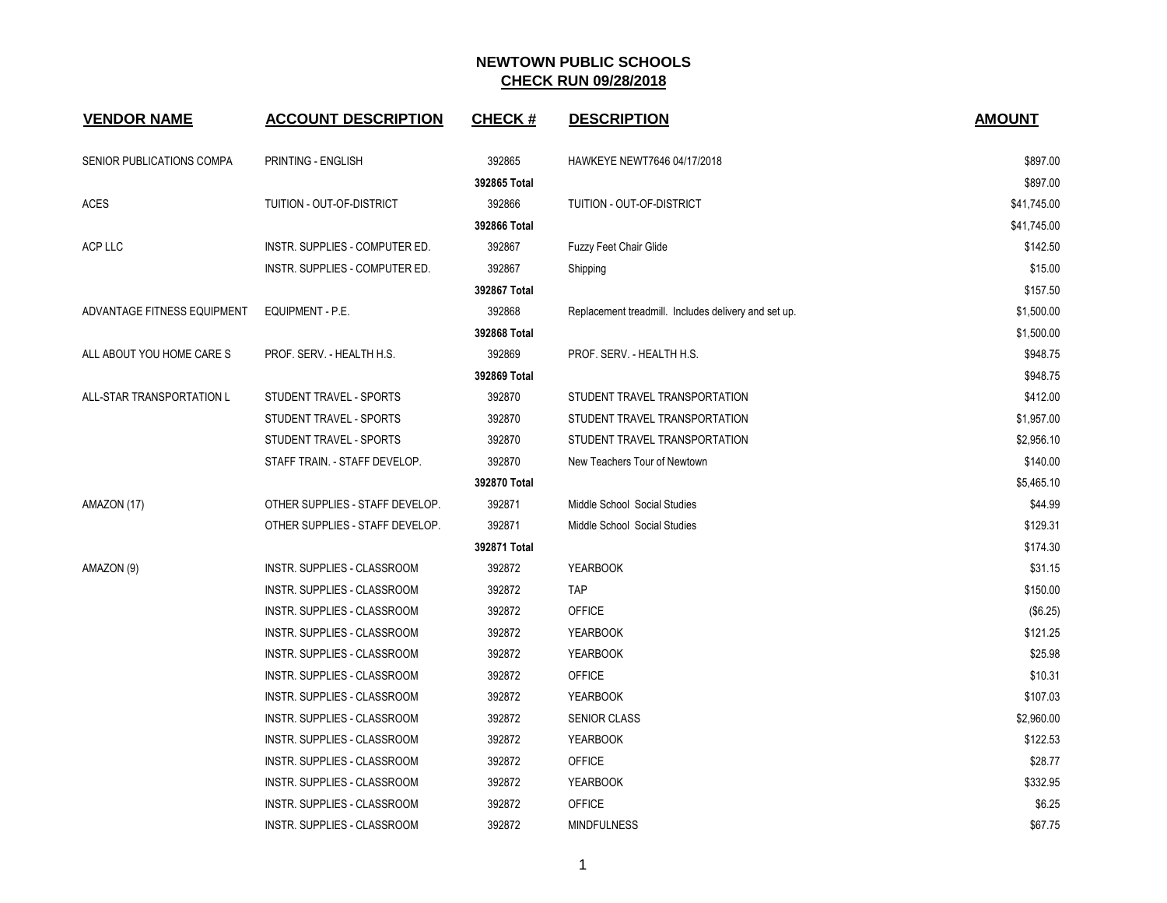| <b>VENDOR NAME</b>          | <b>ACCOUNT DESCRIPTION</b>      | <b>CHECK#</b> | <b>DESCRIPTION</b>                                   | <b>AMOUNT</b> |
|-----------------------------|---------------------------------|---------------|------------------------------------------------------|---------------|
| SENIOR PUBLICATIONS COMPA   | PRINTING - ENGLISH              | 392865        | HAWKEYE NEWT7646 04/17/2018                          | \$897.00      |
|                             |                                 | 392865 Total  |                                                      | \$897.00      |
| <b>ACES</b>                 | TUITION - OUT-OF-DISTRICT       | 392866        | TUITION - OUT-OF-DISTRICT                            | \$41,745.00   |
|                             |                                 | 392866 Total  |                                                      | \$41,745.00   |
| <b>ACP LLC</b>              | INSTR. SUPPLIES - COMPUTER ED.  | 392867        | <b>Fuzzy Feet Chair Glide</b>                        | \$142.50      |
|                             | INSTR. SUPPLIES - COMPUTER ED.  | 392867        | Shipping                                             | \$15.00       |
|                             |                                 | 392867 Total  |                                                      | \$157.50      |
| ADVANTAGE FITNESS EQUIPMENT | EQUIPMENT - P.E.                | 392868        | Replacement treadmill. Includes delivery and set up. | \$1,500.00    |
|                             |                                 | 392868 Total  |                                                      | \$1,500.00    |
| ALL ABOUT YOU HOME CARE S   | PROF. SERV. - HEALTH H.S.       | 392869        | PROF. SERV. - HEALTH H.S.                            | \$948.75      |
|                             |                                 | 392869 Total  |                                                      | \$948.75      |
| ALL-STAR TRANSPORTATION L   | STUDENT TRAVEL - SPORTS         | 392870        | STUDENT TRAVEL TRANSPORTATION                        | \$412.00      |
|                             | STUDENT TRAVEL - SPORTS         | 392870        | STUDENT TRAVEL TRANSPORTATION                        | \$1,957.00    |
|                             | STUDENT TRAVEL - SPORTS         | 392870        | STUDENT TRAVEL TRANSPORTATION                        | \$2,956.10    |
|                             | STAFF TRAIN. - STAFF DEVELOP.   | 392870        | New Teachers Tour of Newtown                         | \$140.00      |
|                             |                                 | 392870 Total  |                                                      | \$5,465.10    |
| AMAZON (17)                 | OTHER SUPPLIES - STAFF DEVELOP. | 392871        | Middle School Social Studies                         | \$44.99       |
|                             | OTHER SUPPLIES - STAFF DEVELOP. | 392871        | Middle School Social Studies                         | \$129.31      |
|                             |                                 | 392871 Total  |                                                      | \$174.30      |
| AMAZON (9)                  | INSTR. SUPPLIES - CLASSROOM     | 392872        | <b>YEARBOOK</b>                                      | \$31.15       |
|                             | INSTR. SUPPLIES - CLASSROOM     | 392872        | <b>TAP</b>                                           | \$150.00      |
|                             | INSTR. SUPPLIES - CLASSROOM     | 392872        | <b>OFFICE</b>                                        | (\$6.25)      |
|                             | INSTR. SUPPLIES - CLASSROOM     | 392872        | <b>YEARBOOK</b>                                      | \$121.25      |
|                             | INSTR. SUPPLIES - CLASSROOM     | 392872        | <b>YEARBOOK</b>                                      | \$25.98       |
|                             | INSTR. SUPPLIES - CLASSROOM     | 392872        | <b>OFFICE</b>                                        | \$10.31       |
|                             | INSTR. SUPPLIES - CLASSROOM     | 392872        | <b>YEARBOOK</b>                                      | \$107.03      |
|                             | INSTR. SUPPLIES - CLASSROOM     | 392872        | <b>SENIOR CLASS</b>                                  | \$2,960.00    |
|                             | INSTR. SUPPLIES - CLASSROOM     | 392872        | <b>YEARBOOK</b>                                      | \$122.53      |
|                             | INSTR. SUPPLIES - CLASSROOM     | 392872        | <b>OFFICE</b>                                        | \$28.77       |
|                             | INSTR. SUPPLIES - CLASSROOM     | 392872        | <b>YEARBOOK</b>                                      | \$332.95      |
|                             | INSTR. SUPPLIES - CLASSROOM     | 392872        | <b>OFFICE</b>                                        | \$6.25        |
|                             | INSTR. SUPPLIES - CLASSROOM     | 392872        | <b>MINDFULNESS</b>                                   | \$67.75       |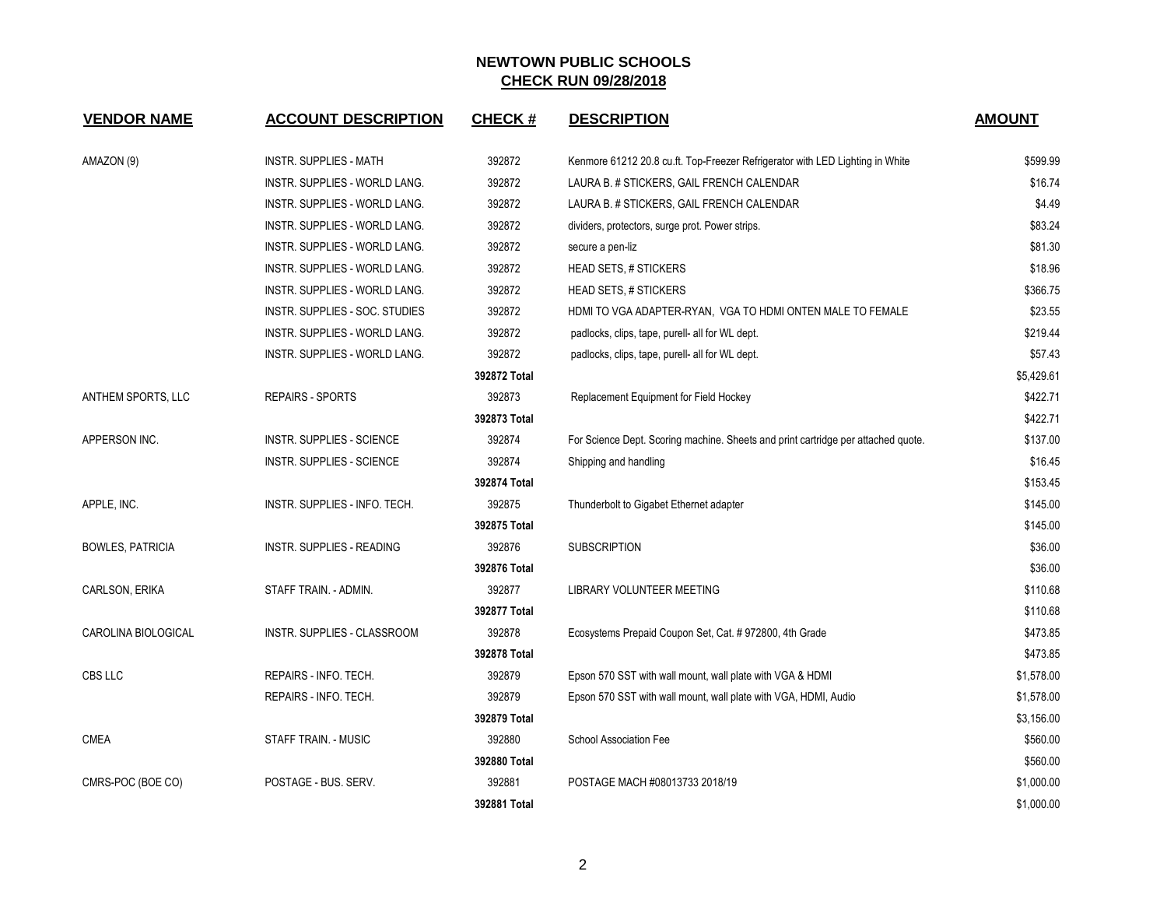| <b>VENDOR NAME</b>      | <b>ACCOUNT DESCRIPTION</b>           | <b>CHECK#</b> | <b>DESCRIPTION</b>                                                                | <b>AMOUNT</b> |
|-------------------------|--------------------------------------|---------------|-----------------------------------------------------------------------------------|---------------|
| AMAZON (9)              | <b>INSTR. SUPPLIES - MATH</b>        | 392872        | Kenmore 61212 20.8 cu.ft. Top-Freezer Refrigerator with LED Lighting in White     | \$599.99      |
|                         | INSTR. SUPPLIES - WORLD LANG.        | 392872        | LAURA B. # STICKERS, GAIL FRENCH CALENDAR                                         | \$16.74       |
|                         | INSTR. SUPPLIES - WORLD LANG.        | 392872        | LAURA B. # STICKERS, GAIL FRENCH CALENDAR                                         | \$4.49        |
|                         | INSTR. SUPPLIES - WORLD LANG.        | 392872        | dividers, protectors, surge prot. Power strips.                                   | \$83.24       |
|                         | <b>INSTR. SUPPLIES - WORLD LANG.</b> | 392872        | secure a pen-liz                                                                  | \$81.30       |
|                         | INSTR. SUPPLIES - WORLD LANG.        | 392872        | <b>HEAD SETS, # STICKERS</b>                                                      | \$18.96       |
|                         | <b>INSTR. SUPPLIES - WORLD LANG.</b> | 392872        | <b>HEAD SETS, # STICKERS</b>                                                      | \$366.75      |
|                         | INSTR. SUPPLIES - SOC. STUDIES       | 392872        | HDMI TO VGA ADAPTER-RYAN, VGA TO HDMI ONTEN MALE TO FEMALE                        | \$23.55       |
|                         | INSTR. SUPPLIES - WORLD LANG.        | 392872        | padlocks, clips, tape, purell- all for WL dept.                                   | \$219.44      |
|                         | INSTR. SUPPLIES - WORLD LANG.        | 392872        | padlocks, clips, tape, purell- all for WL dept.                                   | \$57.43       |
|                         |                                      | 392872 Total  |                                                                                   | \$5,429.61    |
| ANTHEM SPORTS, LLC      | <b>REPAIRS - SPORTS</b>              | 392873        | Replacement Equipment for Field Hockey                                            | \$422.71      |
|                         |                                      | 392873 Total  |                                                                                   | \$422.71      |
| APPERSON INC.           | INSTR. SUPPLIES - SCIENCE            | 392874        | For Science Dept. Scoring machine. Sheets and print cartridge per attached quote. | \$137.00      |
|                         | <b>INSTR. SUPPLIES - SCIENCE</b>     | 392874        | Shipping and handling                                                             | \$16.45       |
|                         |                                      | 392874 Total  |                                                                                   | \$153.45      |
| APPLE, INC.             | INSTR. SUPPLIES - INFO. TECH.        | 392875        | Thunderbolt to Gigabet Ethernet adapter                                           | \$145.00      |
|                         |                                      | 392875 Total  |                                                                                   | \$145.00      |
| <b>BOWLES, PATRICIA</b> | INSTR. SUPPLIES - READING            | 392876        | <b>SUBSCRIPTION</b>                                                               | \$36.00       |
|                         |                                      | 392876 Total  |                                                                                   | \$36.00       |
| CARLSON, ERIKA          | STAFF TRAIN. - ADMIN.                | 392877        | LIBRARY VOLUNTEER MEETING                                                         | \$110.68      |
|                         |                                      | 392877 Total  |                                                                                   | \$110.68      |
| CAROLINA BIOLOGICAL     | INSTR. SUPPLIES - CLASSROOM          | 392878        | Ecosystems Prepaid Coupon Set, Cat. # 972800, 4th Grade                           | \$473.85      |
|                         |                                      | 392878 Total  |                                                                                   | \$473.85      |
| CBS LLC                 | REPAIRS - INFO. TECH.                | 392879        | Epson 570 SST with wall mount, wall plate with VGA & HDMI                         | \$1,578.00    |
|                         | REPAIRS - INFO. TECH.                | 392879        | Epson 570 SST with wall mount, wall plate with VGA, HDMI, Audio                   | \$1,578.00    |
|                         |                                      | 392879 Total  |                                                                                   | \$3,156.00    |
| <b>CMEA</b>             | STAFF TRAIN. - MUSIC                 | 392880        | <b>School Association Fee</b>                                                     | \$560.00      |
|                         |                                      | 392880 Total  |                                                                                   | \$560.00      |
| CMRS-POC (BOE CO)       | POSTAGE - BUS. SERV.                 | 392881        | POSTAGE MACH #08013733 2018/19                                                    | \$1,000.00    |
|                         |                                      | 392881 Total  |                                                                                   | \$1,000.00    |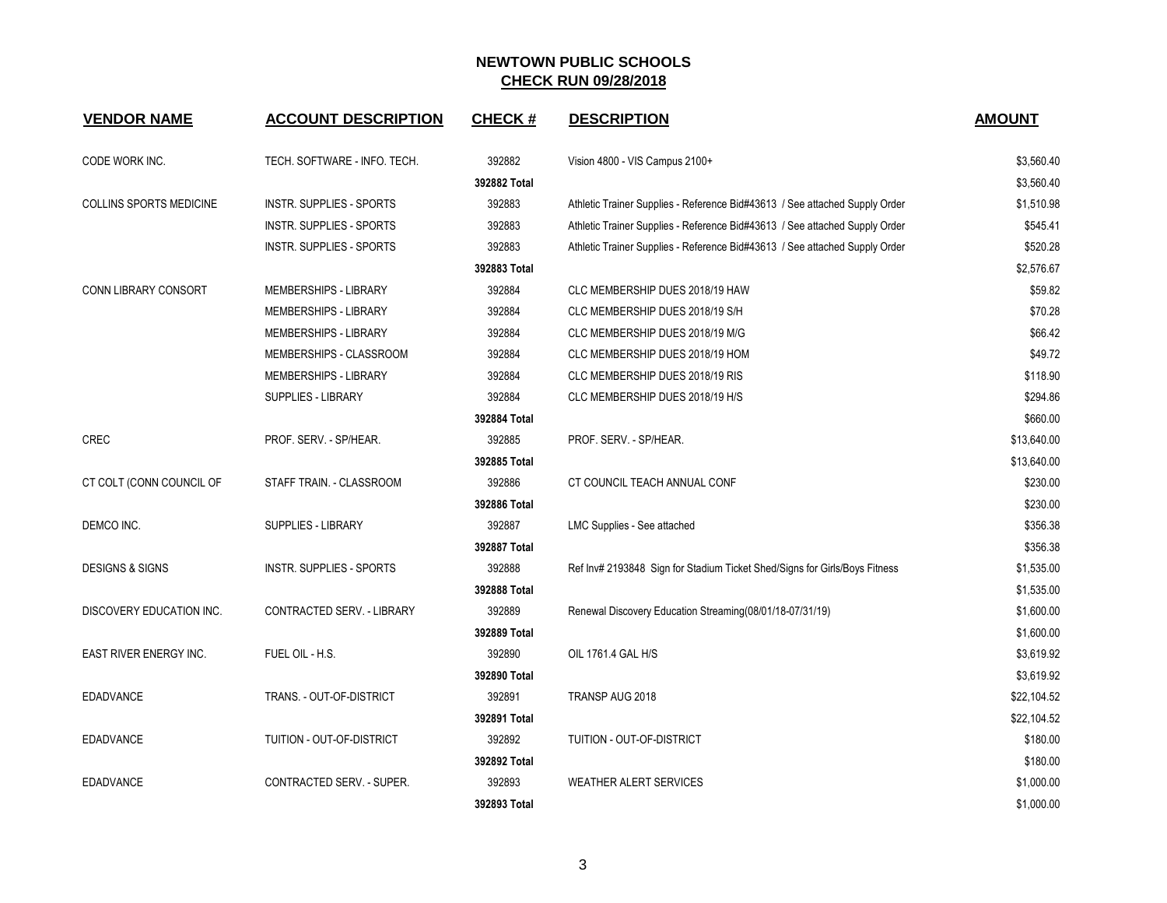| <b>VENDOR NAME</b>             | <b>ACCOUNT DESCRIPTION</b>      | <b>CHECK#</b> | <b>DESCRIPTION</b>                                                          | <b>AMOUNT</b> |
|--------------------------------|---------------------------------|---------------|-----------------------------------------------------------------------------|---------------|
| CODE WORK INC.                 | TECH. SOFTWARE - INFO. TECH.    | 392882        | Vision 4800 - VIS Campus 2100+                                              | \$3,560.40    |
|                                |                                 | 392882 Total  |                                                                             | \$3,560.40    |
| <b>COLLINS SPORTS MEDICINE</b> | <b>INSTR. SUPPLIES - SPORTS</b> | 392883        | Athletic Trainer Supplies - Reference Bid#43613 / See attached Supply Order | \$1,510.98    |
|                                | INSTR. SUPPLIES - SPORTS        | 392883        | Athletic Trainer Supplies - Reference Bid#43613 / See attached Supply Order | \$545.41      |
|                                | INSTR. SUPPLIES - SPORTS        | 392883        | Athletic Trainer Supplies - Reference Bid#43613 / See attached Supply Order | \$520.28      |
|                                |                                 | 392883 Total  |                                                                             | \$2,576.67    |
| <b>CONN LIBRARY CONSORT</b>    | <b>MEMBERSHIPS - LIBRARY</b>    | 392884        | CLC MEMBERSHIP DUES 2018/19 HAW                                             | \$59.82       |
|                                | MEMBERSHIPS - LIBRARY           | 392884        | CLC MEMBERSHIP DUES 2018/19 S/H                                             | \$70.28       |
|                                | <b>MEMBERSHIPS - LIBRARY</b>    | 392884        | CLC MEMBERSHIP DUES 2018/19 M/G                                             | \$66.42       |
|                                | MEMBERSHIPS - CLASSROOM         | 392884        | CLC MEMBERSHIP DUES 2018/19 HOM                                             | \$49.72       |
|                                | MEMBERSHIPS - LIBRARY           | 392884        | CLC MEMBERSHIP DUES 2018/19 RIS                                             | \$118.90      |
|                                | <b>SUPPLIES - LIBRARY</b>       | 392884        | CLC MEMBERSHIP DUES 2018/19 H/S                                             | \$294.86      |
|                                |                                 | 392884 Total  |                                                                             | \$660.00      |
| CREC                           | PROF. SERV. - SP/HEAR.          | 392885        | PROF. SERV. - SP/HEAR.                                                      | \$13,640.00   |
|                                |                                 | 392885 Total  |                                                                             | \$13,640.00   |
| CT COLT (CONN COUNCIL OF       | STAFF TRAIN. - CLASSROOM        | 392886        | CT COUNCIL TEACH ANNUAL CONF                                                | \$230.00      |
|                                |                                 | 392886 Total  |                                                                             | \$230.00      |
| DEMCO INC.                     | <b>SUPPLIES - LIBRARY</b>       | 392887        | LMC Supplies - See attached                                                 | \$356.38      |
|                                |                                 | 392887 Total  |                                                                             | \$356.38      |
| <b>DESIGNS &amp; SIGNS</b>     | INSTR. SUPPLIES - SPORTS        | 392888        | Ref Inv# 2193848 Sign for Stadium Ticket Shed/Signs for Girls/Boys Fitness  | \$1,535.00    |
|                                |                                 | 392888 Total  |                                                                             | \$1,535.00    |
| DISCOVERY EDUCATION INC.       | CONTRACTED SERV. - LIBRARY      | 392889        | Renewal Discovery Education Streaming(08/01/18-07/31/19)                    | \$1,600.00    |
|                                |                                 | 392889 Total  |                                                                             | \$1,600.00    |
| EAST RIVER ENERGY INC.         | FUEL OIL - H.S.                 | 392890        | OIL 1761.4 GAL H/S                                                          | \$3,619.92    |
|                                |                                 | 392890 Total  |                                                                             | \$3,619.92    |
| <b>EDADVANCE</b>               | TRANS. - OUT-OF-DISTRICT        | 392891        | TRANSP AUG 2018                                                             | \$22,104.52   |
|                                |                                 | 392891 Total  |                                                                             | \$22,104.52   |
| <b>EDADVANCE</b>               | TUITION - OUT-OF-DISTRICT       | 392892        | TUITION - OUT-OF-DISTRICT                                                   | \$180.00      |
|                                |                                 | 392892 Total  |                                                                             | \$180.00      |
| <b>EDADVANCE</b>               | CONTRACTED SERV. - SUPER.       | 392893        | <b>WEATHER ALERT SERVICES</b>                                               | \$1,000.00    |
|                                |                                 | 392893 Total  |                                                                             | \$1,000.00    |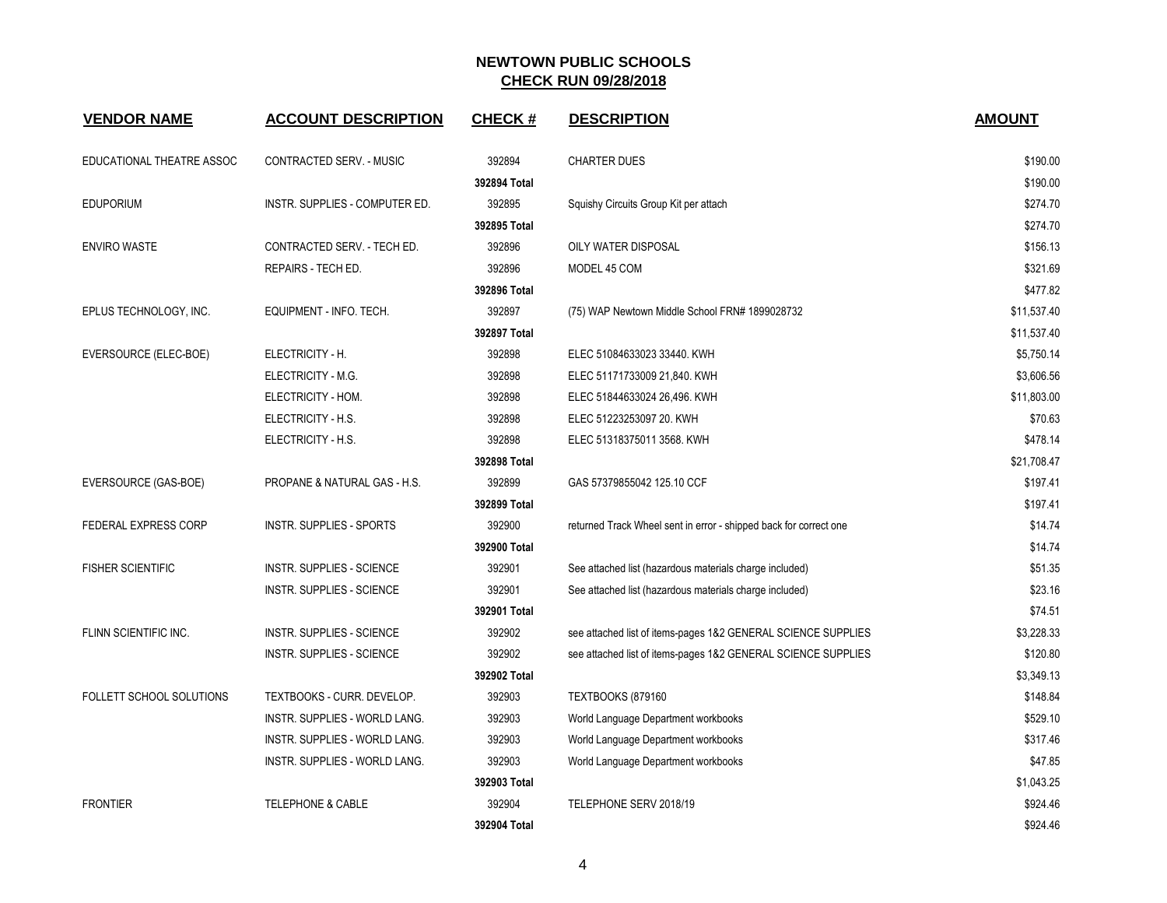| <b>VENDOR NAME</b>        | <b>ACCOUNT DESCRIPTION</b>       | <b>CHECK#</b> | <b>DESCRIPTION</b>                                                | <b>AMOUNT</b> |
|---------------------------|----------------------------------|---------------|-------------------------------------------------------------------|---------------|
| EDUCATIONAL THEATRE ASSOC | CONTRACTED SERV. - MUSIC         | 392894        | <b>CHARTER DUES</b>                                               | \$190.00      |
|                           |                                  | 392894 Total  |                                                                   | \$190.00      |
| <b>EDUPORIUM</b>          | INSTR. SUPPLIES - COMPUTER ED.   | 392895        | Squishy Circuits Group Kit per attach                             | \$274.70      |
|                           |                                  | 392895 Total  |                                                                   | \$274.70      |
| <b>ENVIRO WASTE</b>       | CONTRACTED SERV. - TECH ED.      | 392896        | OILY WATER DISPOSAL                                               | \$156.13      |
|                           | REPAIRS - TECH ED.               | 392896        | MODEL 45 COM                                                      | \$321.69      |
|                           |                                  | 392896 Total  |                                                                   | \$477.82      |
| EPLUS TECHNOLOGY, INC.    | EQUIPMENT - INFO. TECH.          | 392897        | (75) WAP Newtown Middle School FRN# 1899028732                    | \$11,537.40   |
|                           |                                  | 392897 Total  |                                                                   | \$11,537.40   |
| EVERSOURCE (ELEC-BOE)     | ELECTRICITY - H.                 | 392898        | ELEC 51084633023 33440. KWH                                       | \$5,750.14    |
|                           | ELECTRICITY - M.G.               | 392898        | ELEC 51171733009 21,840. KWH                                      | \$3,606.56    |
|                           | ELECTRICITY - HOM.               | 392898        | ELEC 51844633024 26,496. KWH                                      | \$11,803.00   |
|                           | ELECTRICITY - H.S.               | 392898        | ELEC 51223253097 20. KWH                                          | \$70.63       |
|                           | ELECTRICITY - H.S.               | 392898        | ELEC 51318375011 3568. KWH                                        | \$478.14      |
|                           |                                  | 392898 Total  |                                                                   | \$21,708.47   |
| EVERSOURCE (GAS-BOE)      | PROPANE & NATURAL GAS - H.S.     | 392899        | GAS 57379855042 125.10 CCF                                        | \$197.41      |
|                           |                                  | 392899 Total  |                                                                   | \$197.41      |
| FEDERAL EXPRESS CORP      | <b>INSTR. SUPPLIES - SPORTS</b>  | 392900        | returned Track Wheel sent in error - shipped back for correct one | \$14.74       |
|                           |                                  | 392900 Total  |                                                                   | \$14.74       |
| <b>FISHER SCIENTIFIC</b>  | <b>INSTR. SUPPLIES - SCIENCE</b> | 392901        | See attached list (hazardous materials charge included)           | \$51.35       |
|                           | <b>INSTR. SUPPLIES - SCIENCE</b> | 392901        | See attached list (hazardous materials charge included)           | \$23.16       |
|                           |                                  | 392901 Total  |                                                                   | \$74.51       |
| FLINN SCIENTIFIC INC.     | <b>INSTR. SUPPLIES - SCIENCE</b> | 392902        | see attached list of items-pages 1&2 GENERAL SCIENCE SUPPLIES     | \$3,228.33    |
|                           | <b>INSTR. SUPPLIES - SCIENCE</b> | 392902        | see attached list of items-pages 1&2 GENERAL SCIENCE SUPPLIES     | \$120.80      |
|                           |                                  | 392902 Total  |                                                                   | \$3,349.13    |
| FOLLETT SCHOOL SOLUTIONS  | TEXTBOOKS - CURR. DEVELOP.       | 392903        | TEXTBOOKS (879160                                                 | \$148.84      |
|                           | INSTR. SUPPLIES - WORLD LANG.    | 392903        | World Language Department workbooks                               | \$529.10      |
|                           | INSTR. SUPPLIES - WORLD LANG.    | 392903        | World Language Department workbooks                               | \$317.46      |
|                           | INSTR. SUPPLIES - WORLD LANG.    | 392903        | World Language Department workbooks                               | \$47.85       |
|                           |                                  | 392903 Total  |                                                                   | \$1,043.25    |
| <b>FRONTIER</b>           | <b>TELEPHONE &amp; CABLE</b>     | 392904        | TELEPHONE SERV 2018/19                                            | \$924.46      |
|                           |                                  | 392904 Total  |                                                                   | \$924.46      |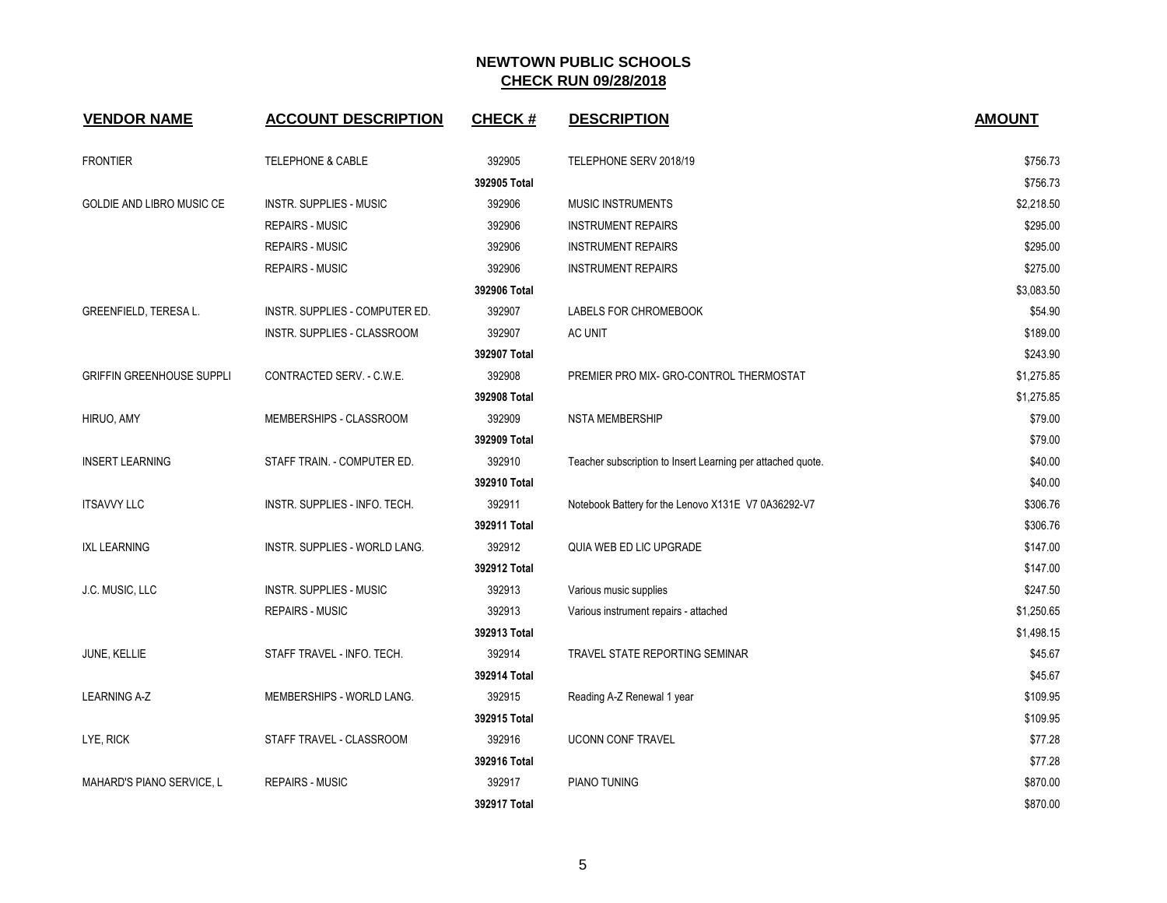| <b>VENDOR NAME</b>               | <b>ACCOUNT DESCRIPTION</b>     | <b>CHECK#</b> | <b>DESCRIPTION</b>                                          | <b>AMOUNT</b> |
|----------------------------------|--------------------------------|---------------|-------------------------------------------------------------|---------------|
| <b>FRONTIER</b>                  | <b>TELEPHONE &amp; CABLE</b>   | 392905        | TELEPHONE SERV 2018/19                                      | \$756.73      |
|                                  |                                | 392905 Total  |                                                             | \$756.73      |
| GOLDIE AND LIBRO MUSIC CE        | <b>INSTR. SUPPLIES - MUSIC</b> | 392906        | <b>MUSIC INSTRUMENTS</b>                                    | \$2,218.50    |
|                                  | <b>REPAIRS - MUSIC</b>         | 392906        | <b>INSTRUMENT REPAIRS</b>                                   | \$295.00      |
|                                  | <b>REPAIRS - MUSIC</b>         | 392906        | <b>INSTRUMENT REPAIRS</b>                                   | \$295.00      |
|                                  | <b>REPAIRS - MUSIC</b>         | 392906        | <b>INSTRUMENT REPAIRS</b>                                   | \$275.00      |
|                                  |                                | 392906 Total  |                                                             | \$3,083.50    |
| GREENFIELD, TERESA L.            | INSTR. SUPPLIES - COMPUTER ED. | 392907        | LABELS FOR CHROMEBOOK                                       | \$54.90       |
|                                  | INSTR. SUPPLIES - CLASSROOM    | 392907        | AC UNIT                                                     | \$189.00      |
|                                  |                                | 392907 Total  |                                                             | \$243.90      |
| <b>GRIFFIN GREENHOUSE SUPPLI</b> | CONTRACTED SERV. - C.W.E.      | 392908        | PREMIER PRO MIX- GRO-CONTROL THERMOSTAT                     | \$1,275.85    |
|                                  |                                | 392908 Total  |                                                             | \$1,275.85    |
| HIRUO, AMY                       | MEMBERSHIPS - CLASSROOM        | 392909        | <b>NSTA MEMBERSHIP</b>                                      | \$79.00       |
|                                  |                                | 392909 Total  |                                                             | \$79.00       |
| <b>INSERT LEARNING</b>           | STAFF TRAIN. - COMPUTER ED.    | 392910        | Teacher subscription to Insert Learning per attached quote. | \$40.00       |
|                                  |                                | 392910 Total  |                                                             | \$40.00       |
| <b>ITSAVVY LLC</b>               | INSTR. SUPPLIES - INFO. TECH.  | 392911        | Notebook Battery for the Lenovo X131E V7 0A36292-V7         | \$306.76      |
|                                  |                                | 392911 Total  |                                                             | \$306.76      |
| <b>IXL LEARNING</b>              | INSTR. SUPPLIES - WORLD LANG.  | 392912        | QUIA WEB ED LIC UPGRADE                                     | \$147.00      |
|                                  |                                | 392912 Total  |                                                             | \$147.00      |
| J.C. MUSIC, LLC                  | <b>INSTR. SUPPLIES - MUSIC</b> | 392913        | Various music supplies                                      | \$247.50      |
|                                  | <b>REPAIRS - MUSIC</b>         | 392913        | Various instrument repairs - attached                       | \$1,250.65    |
|                                  |                                | 392913 Total  |                                                             | \$1,498.15    |
| JUNE, KELLIE                     | STAFF TRAVEL - INFO. TECH.     | 392914        | TRAVEL STATE REPORTING SEMINAR                              | \$45.67       |
|                                  |                                | 392914 Total  |                                                             | \$45.67       |
| <b>LEARNING A-Z</b>              | MEMBERSHIPS - WORLD LANG.      | 392915        | Reading A-Z Renewal 1 year                                  | \$109.95      |
|                                  |                                | 392915 Total  |                                                             | \$109.95      |
| LYE, RICK                        | STAFF TRAVEL - CLASSROOM       | 392916        | <b>UCONN CONF TRAVEL</b>                                    | \$77.28       |
|                                  |                                | 392916 Total  |                                                             | \$77.28       |
| MAHARD'S PIANO SERVICE, L        | <b>REPAIRS - MUSIC</b>         | 392917        | PIANO TUNING                                                | \$870.00      |
|                                  |                                | 392917 Total  |                                                             | \$870.00      |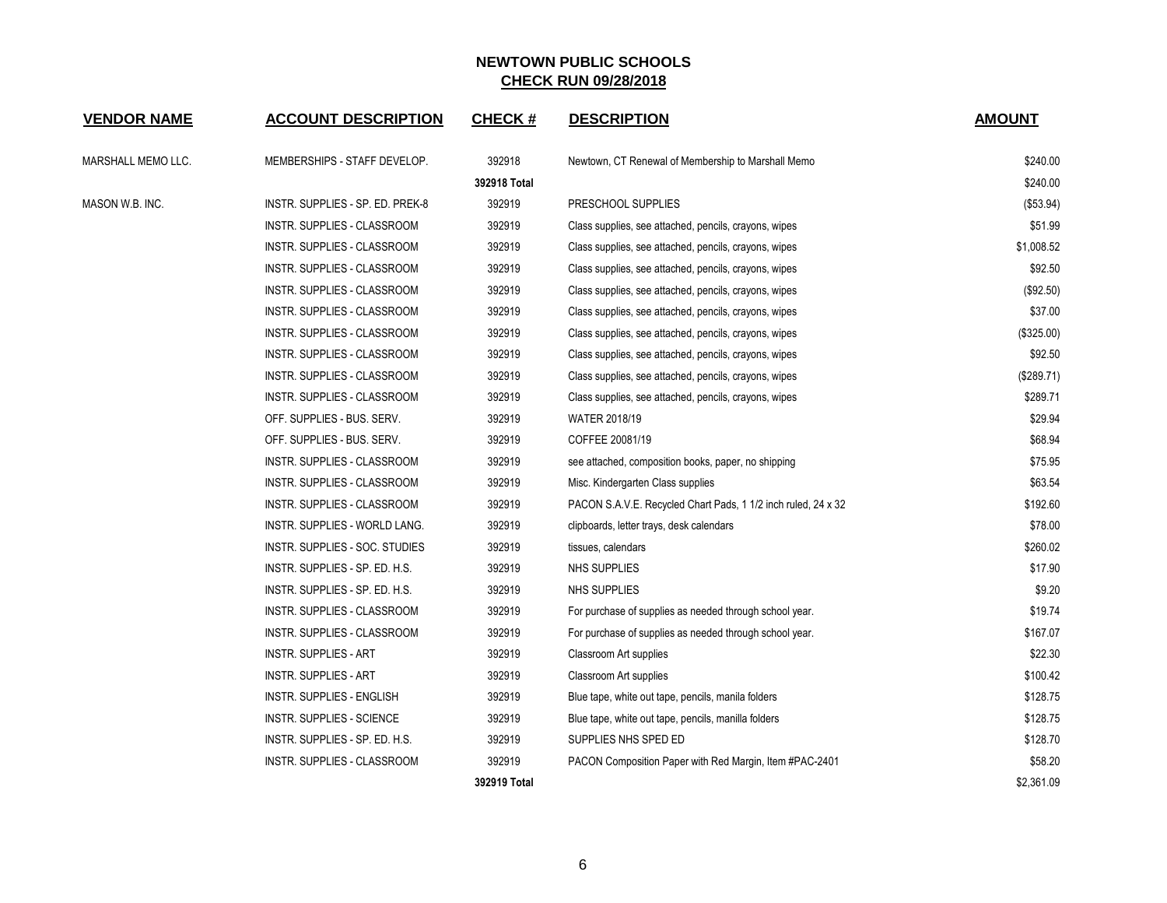| <b>VENDOR NAME</b> | <b>ACCOUNT DESCRIPTION</b>         | <b>CHECK#</b> | <b>DESCRIPTION</b>                                            | <b>AMOUNT</b> |
|--------------------|------------------------------------|---------------|---------------------------------------------------------------|---------------|
| MARSHALL MEMO LLC. | MEMBERSHIPS - STAFF DEVELOP.       | 392918        | Newtown, CT Renewal of Membership to Marshall Memo            | \$240.00      |
|                    |                                    | 392918 Total  |                                                               | \$240.00      |
| MASON W.B. INC.    | INSTR. SUPPLIES - SP. ED. PREK-8   | 392919        | PRESCHOOL SUPPLIES                                            | (\$53.94)     |
|                    | INSTR. SUPPLIES - CLASSROOM        | 392919        | Class supplies, see attached, pencils, crayons, wipes         | \$51.99       |
|                    | INSTR. SUPPLIES - CLASSROOM        | 392919        | Class supplies, see attached, pencils, crayons, wipes         | \$1,008.52    |
|                    | INSTR. SUPPLIES - CLASSROOM        | 392919        | Class supplies, see attached, pencils, crayons, wipes         | \$92.50       |
|                    | INSTR. SUPPLIES - CLASSROOM        | 392919        | Class supplies, see attached, pencils, crayons, wipes         | (\$92.50)     |
|                    | INSTR. SUPPLIES - CLASSROOM        | 392919        | Class supplies, see attached, pencils, crayons, wipes         | \$37.00       |
|                    | <b>INSTR. SUPPLIES - CLASSROOM</b> | 392919        | Class supplies, see attached, pencils, crayons, wipes         | (\$325.00)    |
|                    | INSTR. SUPPLIES - CLASSROOM        | 392919        | Class supplies, see attached, pencils, crayons, wipes         | \$92.50       |
|                    | INSTR. SUPPLIES - CLASSROOM        | 392919        | Class supplies, see attached, pencils, crayons, wipes         | (\$289.71)    |
|                    | INSTR. SUPPLIES - CLASSROOM        | 392919        | Class supplies, see attached, pencils, crayons, wipes         | \$289.71      |
|                    | OFF. SUPPLIES - BUS. SERV.         | 392919        | WATER 2018/19                                                 | \$29.94       |
|                    | OFF. SUPPLIES - BUS. SERV.         | 392919        | COFFEE 20081/19                                               | \$68.94       |
|                    | INSTR. SUPPLIES - CLASSROOM        | 392919        | see attached, composition books, paper, no shipping           | \$75.95       |
|                    | INSTR. SUPPLIES - CLASSROOM        | 392919        | Misc. Kindergarten Class supplies                             | \$63.54       |
|                    | INSTR. SUPPLIES - CLASSROOM        | 392919        | PACON S.A.V.E. Recycled Chart Pads, 1 1/2 inch ruled, 24 x 32 | \$192.60      |
|                    | INSTR. SUPPLIES - WORLD LANG.      | 392919        | clipboards, letter trays, desk calendars                      | \$78.00       |
|                    | INSTR. SUPPLIES - SOC. STUDIES     | 392919        | tissues, calendars                                            | \$260.02      |
|                    | INSTR. SUPPLIES - SP. ED. H.S.     | 392919        | NHS SUPPLIES                                                  | \$17.90       |
|                    | INSTR. SUPPLIES - SP. ED. H.S.     | 392919        | NHS SUPPLIES                                                  | \$9.20        |
|                    | INSTR. SUPPLIES - CLASSROOM        | 392919        | For purchase of supplies as needed through school year.       | \$19.74       |
|                    | INSTR. SUPPLIES - CLASSROOM        | 392919        | For purchase of supplies as needed through school year.       | \$167.07      |
|                    | INSTR. SUPPLIES - ART              | 392919        | <b>Classroom Art supplies</b>                                 | \$22.30       |
|                    | INSTR. SUPPLIES - ART              | 392919        | Classroom Art supplies                                        | \$100.42      |
|                    | INSTR. SUPPLIES - ENGLISH          | 392919        | Blue tape, white out tape, pencils, manila folders            | \$128.75      |
|                    | INSTR. SUPPLIES - SCIENCE          | 392919        | Blue tape, white out tape, pencils, manilla folders           | \$128.75      |
|                    | INSTR. SUPPLIES - SP. ED. H.S.     | 392919        | SUPPLIES NHS SPED ED                                          | \$128.70      |
|                    | INSTR. SUPPLIES - CLASSROOM        | 392919        | PACON Composition Paper with Red Margin, Item #PAC-2401       | \$58.20       |
|                    |                                    | 392919 Total  |                                                               | \$2,361.09    |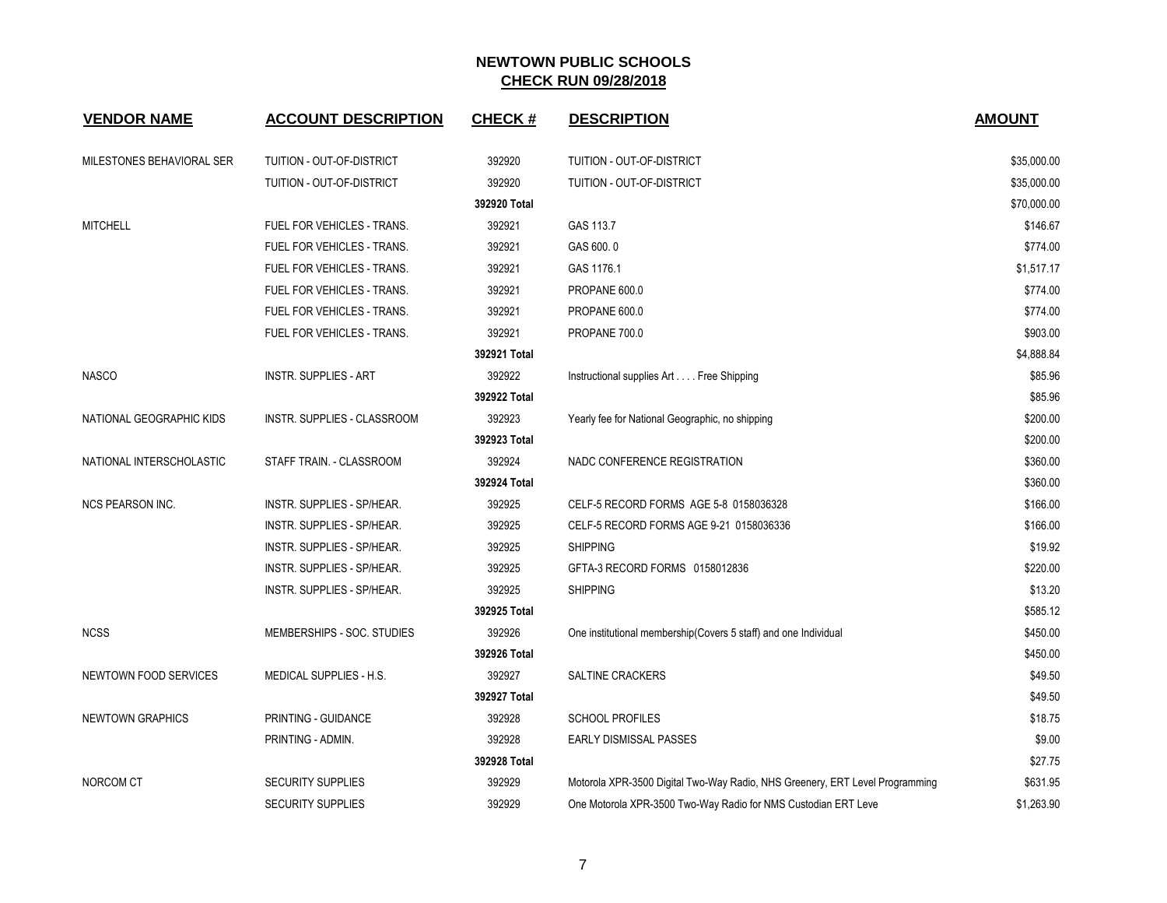| <b>VENDOR NAME</b>           | <b>ACCOUNT DESCRIPTION</b>        | <b>CHECK#</b> | <b>DESCRIPTION</b>                                                           | <b>AMOUNT</b> |
|------------------------------|-----------------------------------|---------------|------------------------------------------------------------------------------|---------------|
| MILESTONES BEHAVIORAL SER    | TUITION - OUT-OF-DISTRICT         | 392920        | TUITION - OUT-OF-DISTRICT                                                    | \$35,000.00   |
|                              | TUITION - OUT-OF-DISTRICT         | 392920        | TUITION - OUT-OF-DISTRICT                                                    | \$35,000.00   |
|                              |                                   | 392920 Total  |                                                                              | \$70,000.00   |
| <b>MITCHELL</b>              | FUEL FOR VEHICLES - TRANS.        | 392921        | GAS 113.7                                                                    | \$146.67      |
|                              | FUEL FOR VEHICLES - TRANS.        | 392921        | GAS 600.0                                                                    | \$774.00      |
|                              | FUEL FOR VEHICLES - TRANS.        | 392921        | GAS 1176.1                                                                   | \$1,517.17    |
|                              | <b>FUEL FOR VEHICLES - TRANS.</b> | 392921        | PROPANE 600.0                                                                | \$774.00      |
|                              | FUEL FOR VEHICLES - TRANS.        | 392921        | PROPANE 600.0                                                                | \$774.00      |
|                              | FUEL FOR VEHICLES - TRANS.        | 392921        | PROPANE 700.0                                                                | \$903.00      |
|                              |                                   | 392921 Total  |                                                                              | \$4,888.84    |
| <b>NASCO</b>                 | INSTR. SUPPLIES - ART             | 392922        | Instructional supplies Art Free Shipping                                     | \$85.96       |
|                              |                                   | 392922 Total  |                                                                              | \$85.96       |
| NATIONAL GEOGRAPHIC KIDS     | INSTR. SUPPLIES - CLASSROOM       | 392923        | Yearly fee for National Geographic, no shipping                              | \$200.00      |
|                              |                                   | 392923 Total  |                                                                              | \$200.00      |
| NATIONAL INTERSCHOLASTIC     | STAFF TRAIN. - CLASSROOM          | 392924        | NADC CONFERENCE REGISTRATION                                                 | \$360.00      |
|                              |                                   | 392924 Total  |                                                                              | \$360.00      |
| <b>NCS PEARSON INC.</b>      | INSTR. SUPPLIES - SP/HEAR.        | 392925        | CELF-5 RECORD FORMS AGE 5-8 0158036328                                       | \$166.00      |
|                              | INSTR. SUPPLIES - SP/HEAR.        | 392925        | CELF-5 RECORD FORMS AGE 9-21 0158036336                                      | \$166.00      |
|                              | INSTR. SUPPLIES - SP/HEAR.        | 392925        | <b>SHIPPING</b>                                                              | \$19.92       |
|                              | INSTR. SUPPLIES - SP/HEAR.        | 392925        | GFTA-3 RECORD FORMS 0158012836                                               | \$220.00      |
|                              | INSTR. SUPPLIES - SP/HEAR.        | 392925        | <b>SHIPPING</b>                                                              | \$13.20       |
|                              |                                   | 392925 Total  |                                                                              | \$585.12      |
| <b>NCSS</b>                  | MEMBERSHIPS - SOC. STUDIES        | 392926        | One institutional membership(Covers 5 staff) and one Individual              | \$450.00      |
|                              |                                   | 392926 Total  |                                                                              | \$450.00      |
| <b>NEWTOWN FOOD SERVICES</b> | MEDICAL SUPPLIES - H.S.           | 392927        | <b>SALTINE CRACKERS</b>                                                      | \$49.50       |
|                              |                                   | 392927 Total  |                                                                              | \$49.50       |
| <b>NEWTOWN GRAPHICS</b>      | PRINTING - GUIDANCE               | 392928        | <b>SCHOOL PROFILES</b>                                                       | \$18.75       |
|                              | PRINTING - ADMIN.                 | 392928        | <b>EARLY DISMISSAL PASSES</b>                                                | \$9.00        |
|                              |                                   | 392928 Total  |                                                                              | \$27.75       |
| NORCOM CT                    | <b>SECURITY SUPPLIES</b>          | 392929        | Motorola XPR-3500 Digital Two-Way Radio, NHS Greenery, ERT Level Programming | \$631.95      |
|                              | <b>SECURITY SUPPLIES</b>          | 392929        | One Motorola XPR-3500 Two-Way Radio for NMS Custodian ERT Leve               | \$1,263.90    |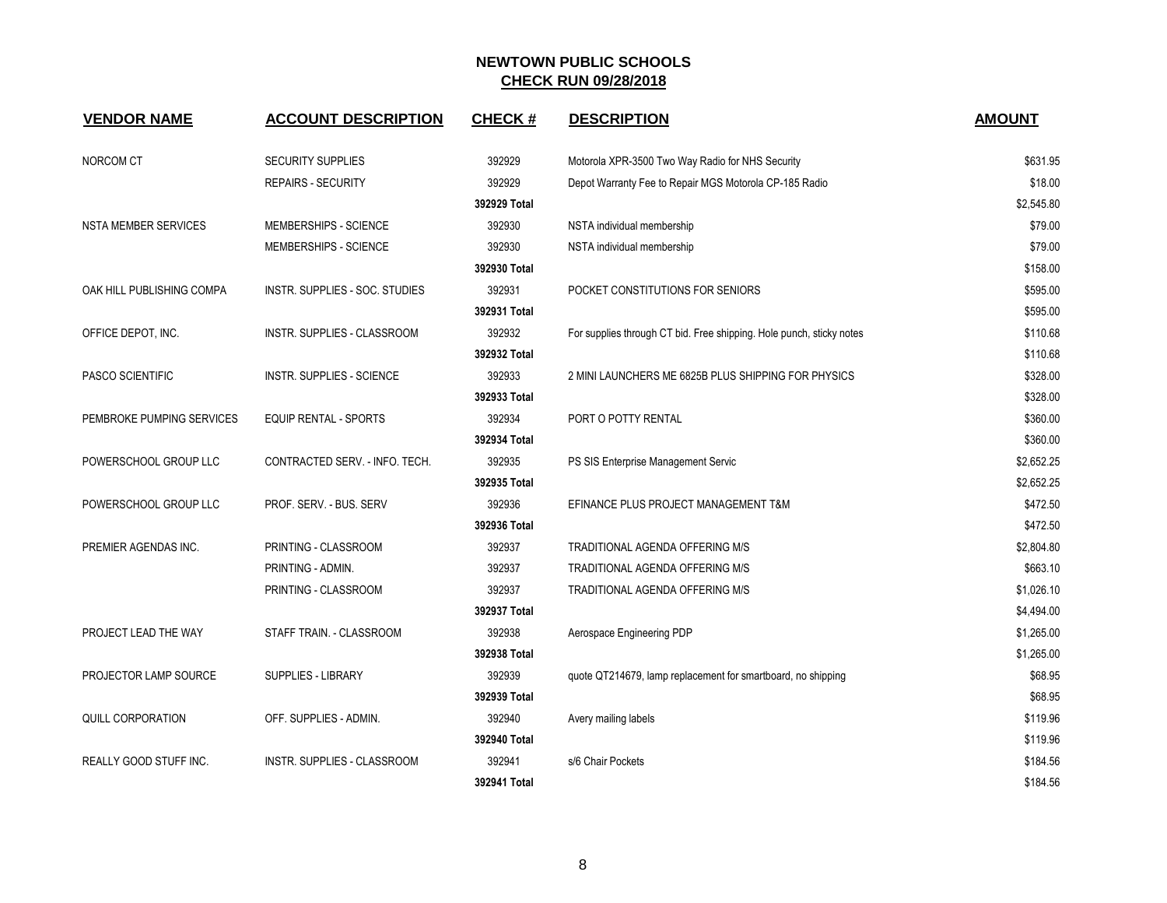| <b>VENDOR NAME</b>            | <b>ACCOUNT DESCRIPTION</b>         | <b>CHECK#</b> | <b>DESCRIPTION</b>                                                   | <b>AMOUNT</b> |
|-------------------------------|------------------------------------|---------------|----------------------------------------------------------------------|---------------|
| NORCOM CT                     | <b>SECURITY SUPPLIES</b>           | 392929        | Motorola XPR-3500 Two Way Radio for NHS Security                     | \$631.95      |
|                               | REPAIRS - SECURITY                 | 392929        | Depot Warranty Fee to Repair MGS Motorola CP-185 Radio               | \$18.00       |
|                               |                                    | 392929 Total  |                                                                      | \$2,545.80    |
| <b>NSTA MEMBER SERVICES</b>   | MEMBERSHIPS - SCIENCE              | 392930        | NSTA individual membership                                           | \$79.00       |
|                               | MEMBERSHIPS - SCIENCE              | 392930        | NSTA individual membership                                           | \$79.00       |
|                               |                                    | 392930 Total  |                                                                      | \$158.00      |
| OAK HILL PUBLISHING COMPA     | INSTR. SUPPLIES - SOC. STUDIES     | 392931        | POCKET CONSTITUTIONS FOR SENIORS                                     | \$595.00      |
|                               |                                    | 392931 Total  |                                                                      | \$595.00      |
| OFFICE DEPOT, INC.            | <b>INSTR. SUPPLIES - CLASSROOM</b> | 392932        | For supplies through CT bid. Free shipping. Hole punch, sticky notes | \$110.68      |
|                               |                                    | 392932 Total  |                                                                      | \$110.68      |
| PASCO SCIENTIFIC              | <b>INSTR. SUPPLIES - SCIENCE</b>   | 392933        | 2 MINI LAUNCHERS ME 6825B PLUS SHIPPING FOR PHYSICS                  | \$328.00      |
|                               |                                    | 392933 Total  |                                                                      | \$328.00      |
| PEMBROKE PUMPING SERVICES     | <b>EQUIP RENTAL - SPORTS</b>       | 392934        | PORT O POTTY RENTAL                                                  | \$360.00      |
|                               |                                    | 392934 Total  |                                                                      | \$360.00      |
| POWERSCHOOL GROUP LLC         | CONTRACTED SERV. - INFO. TECH.     | 392935        | PS SIS Enterprise Management Servic                                  | \$2,652.25    |
|                               |                                    | 392935 Total  |                                                                      | \$2,652.25    |
| POWERSCHOOL GROUP LLC         | PROF. SERV. - BUS. SERV            | 392936        | EFINANCE PLUS PROJECT MANAGEMENT T&M                                 | \$472.50      |
|                               |                                    | 392936 Total  |                                                                      | \$472.50      |
| PREMIER AGENDAS INC.          | PRINTING - CLASSROOM               | 392937        | <b>TRADITIONAL AGENDA OFFERING M/S</b>                               | \$2,804.80    |
|                               | PRINTING - ADMIN.                  | 392937        | TRADITIONAL AGENDA OFFERING M/S                                      | \$663.10      |
|                               | PRINTING - CLASSROOM               | 392937        | TRADITIONAL AGENDA OFFERING M/S                                      | \$1,026.10    |
|                               |                                    | 392937 Total  |                                                                      | \$4,494.00    |
| PROJECT LEAD THE WAY          | STAFF TRAIN. - CLASSROOM           | 392938        | Aerospace Engineering PDP                                            | \$1,265.00    |
|                               |                                    | 392938 Total  |                                                                      | \$1,265.00    |
| PROJECTOR LAMP SOURCE         | <b>SUPPLIES - LIBRARY</b>          | 392939        | quote QT214679, lamp replacement for smartboard, no shipping         | \$68.95       |
|                               |                                    | 392939 Total  |                                                                      | \$68.95       |
| <b>QUILL CORPORATION</b>      | OFF. SUPPLIES - ADMIN.             | 392940        | Avery mailing labels                                                 | \$119.96      |
|                               |                                    | 392940 Total  |                                                                      | \$119.96      |
| <b>REALLY GOOD STUFF INC.</b> | <b>INSTR. SUPPLIES - CLASSROOM</b> | 392941        | s/6 Chair Pockets                                                    | \$184.56      |
|                               |                                    | 392941 Total  |                                                                      | \$184.56      |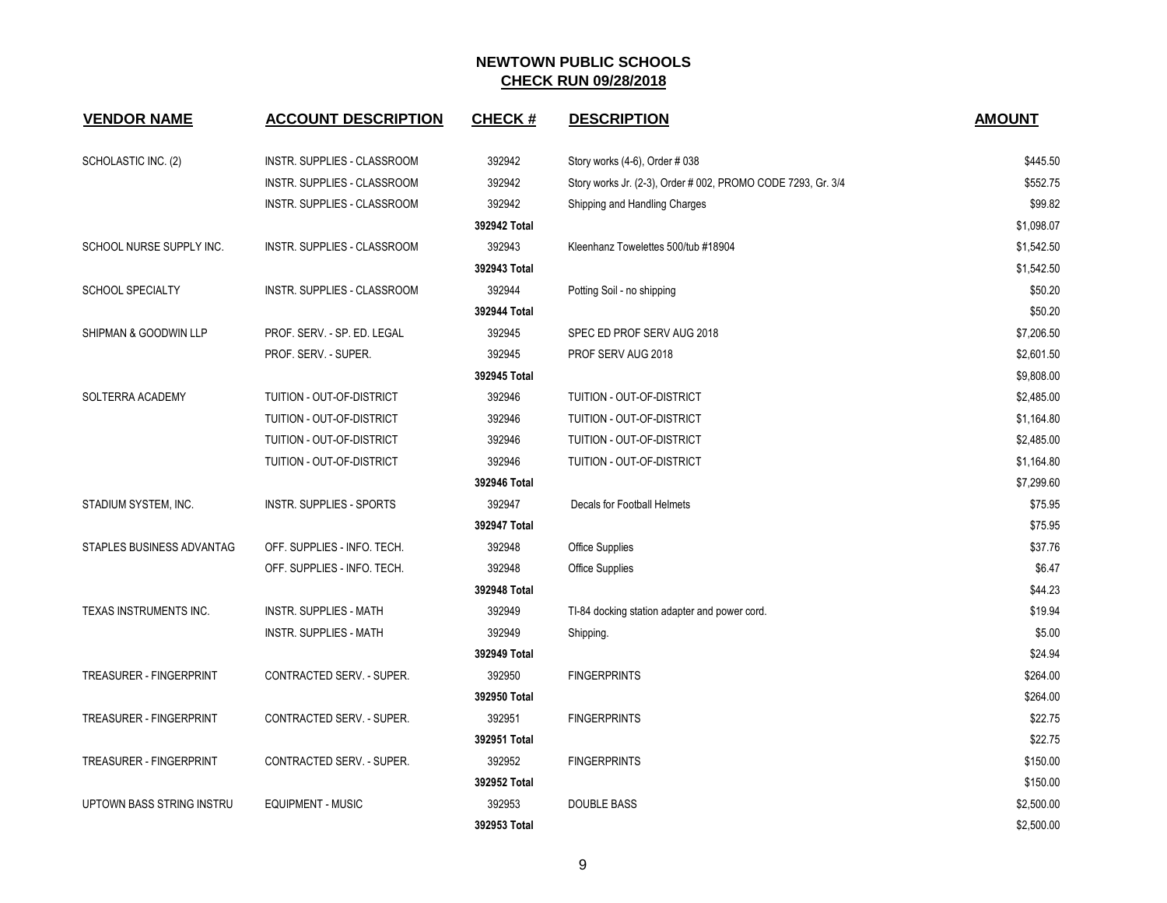| <b>VENDOR NAME</b>             | <b>ACCOUNT DESCRIPTION</b>       | <b>CHECK#</b> | <b>DESCRIPTION</b>                                           | <b>AMOUNT</b> |
|--------------------------------|----------------------------------|---------------|--------------------------------------------------------------|---------------|
| SCHOLASTIC INC. (2)            | INSTR. SUPPLIES - CLASSROOM      | 392942        | Story works (4-6), Order # 038                               | \$445.50      |
|                                | INSTR. SUPPLIES - CLASSROOM      | 392942        | Story works Jr. (2-3), Order # 002, PROMO CODE 7293, Gr. 3/4 | \$552.75      |
|                                | INSTR. SUPPLIES - CLASSROOM      | 392942        | Shipping and Handling Charges                                | \$99.82       |
|                                |                                  | 392942 Total  |                                                              | \$1,098.07    |
| SCHOOL NURSE SUPPLY INC.       | INSTR. SUPPLIES - CLASSROOM      | 392943        | Kleenhanz Towelettes 500/tub #18904                          | \$1,542.50    |
|                                |                                  | 392943 Total  |                                                              | \$1,542.50    |
| <b>SCHOOL SPECIALTY</b>        | INSTR. SUPPLIES - CLASSROOM      | 392944        | Potting Soil - no shipping                                   | \$50.20       |
|                                |                                  | 392944 Total  |                                                              | \$50.20       |
| SHIPMAN & GOODWIN LLP          | PROF. SERV. - SP. ED. LEGAL      | 392945        | SPEC ED PROF SERV AUG 2018                                   | \$7,206.50    |
|                                | PROF. SERV. - SUPER.             | 392945        | PROF SERV AUG 2018                                           | \$2,601.50    |
|                                |                                  | 392945 Total  |                                                              | \$9,808.00    |
| SOLTERRA ACADEMY               | TUITION - OUT-OF-DISTRICT        | 392946        | TUITION - OUT-OF-DISTRICT                                    | \$2,485.00    |
|                                | TUITION - OUT-OF-DISTRICT        | 392946        | TUITION - OUT-OF-DISTRICT                                    | \$1,164.80    |
|                                | TUITION - OUT-OF-DISTRICT        | 392946        | TUITION - OUT-OF-DISTRICT                                    | \$2,485.00    |
|                                | TUITION - OUT-OF-DISTRICT        | 392946        | TUITION - OUT-OF-DISTRICT                                    | \$1,164.80    |
|                                |                                  | 392946 Total  |                                                              | \$7,299.60    |
| STADIUM SYSTEM, INC.           | <b>INSTR. SUPPLIES - SPORTS</b>  | 392947        | Decals for Football Helmets                                  | \$75.95       |
|                                |                                  | 392947 Total  |                                                              | \$75.95       |
| STAPLES BUSINESS ADVANTAG      | OFF. SUPPLIES - INFO. TECH.      | 392948        | Office Supplies                                              | \$37.76       |
|                                | OFF. SUPPLIES - INFO. TECH.      | 392948        | <b>Office Supplies</b>                                       | \$6.47        |
|                                |                                  | 392948 Total  |                                                              | \$44.23       |
| TEXAS INSTRUMENTS INC.         | <b>INSTR. SUPPLIES - MATH</b>    | 392949        | TI-84 docking station adapter and power cord.                | \$19.94       |
|                                | <b>INSTR. SUPPLIES - MATH</b>    | 392949        | Shipping.                                                    | \$5.00        |
|                                |                                  | 392949 Total  |                                                              | \$24.94       |
| <b>TREASURER - FINGERPRINT</b> | CONTRACTED SERV. - SUPER.        | 392950        | <b>FINGERPRINTS</b>                                          | \$264.00      |
|                                |                                  | 392950 Total  |                                                              | \$264.00      |
| TREASURER - FINGERPRINT        | CONTRACTED SERV. - SUPER.        | 392951        | <b>FINGERPRINTS</b>                                          | \$22.75       |
|                                |                                  | 392951 Total  |                                                              | \$22.75       |
| <b>TREASURER - FINGERPRINT</b> | <b>CONTRACTED SERV. - SUPER.</b> | 392952        | <b>FINGERPRINTS</b>                                          | \$150.00      |
|                                |                                  | 392952 Total  |                                                              | \$150.00      |
| UPTOWN BASS STRING INSTRU      | <b>EQUIPMENT - MUSIC</b>         | 392953        | <b>DOUBLE BASS</b>                                           | \$2,500.00    |
|                                |                                  | 392953 Total  |                                                              | \$2,500.00    |